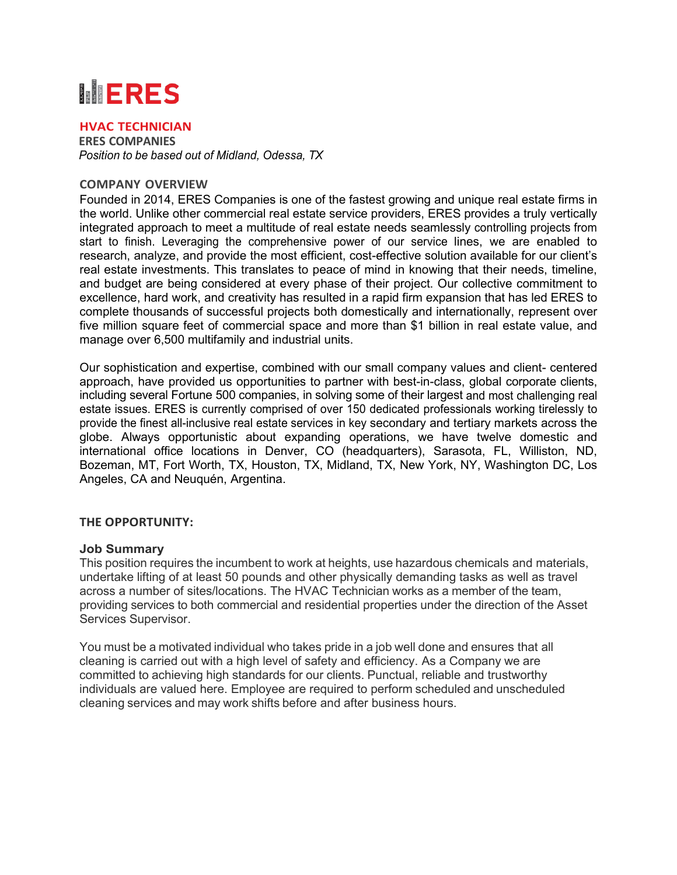# **MERES**

## **HVAC TECHNICIAN**

**ERES COMPANIES** *Position to be based out of Midland, Odessa, TX*

### **COMPANY OVERVIEW**

Founded in 2014, ERES Companies is one of the fastest growing and unique real estate firms in the world. Unlike other commercial real estate service providers, ERES provides a truly vertically integrated approach to meet a multitude of real estate needs seamlessly controlling projects from start to finish. Leveraging the comprehensive power of our service lines, we are enabled to research, analyze, and provide the most efficient, cost-effective solution available for our client's real estate investments. This translates to peace of mind in knowing that their needs, timeline, and budget are being considered at every phase of their project. Our collective commitment to excellence, hard work, and creativity has resulted in a rapid firm expansion that has led ERES to complete thousands of successful projects both domestically and internationally, represent over five million square feet of commercial space and more than \$1 billion in real estate value, and manage over 6,500 multifamily and industrial units.

Our sophistication and expertise, combined with our small company values and client- centered approach, have provided us opportunities to partner with best-in-class, global corporate clients, including several Fortune 500 companies, in solving some of their largest and most challenging real estate issues. ERES is currently comprised of over 150 dedicated professionals working tirelessly to provide the finest all-inclusive real estate services in key secondary and tertiary markets across the globe. Always opportunistic about expanding operations, we have twelve domestic and international office locations in Denver, CO (headquarters), Sarasota, FL, Williston, ND, Bozeman, MT, Fort Worth, TX, Houston, TX, Midland, TX, New York, NY, Washington DC, Los Angeles, CA and Neuquén, Argentina.

### **THE OPPORTUNITY:**

#### **Job Summary**

This position requires the incumbent to work at heights, use hazardous chemicals and materials, undertake lifting of at least 50 pounds and other physically demanding tasks as well as travel across a number of sites/locations. The HVAC Technician works as a member of the team, providing services to both commercial and residential properties under the direction of the Asset Services Supervisor.

You must be a motivated individual who takes pride in a job well done and ensures that all cleaning is carried out with a high level of safety and efficiency. As a Company we are committed to achieving high standards for our clients. Punctual, reliable and trustworthy individuals are valued here. Employee are required to perform scheduled and unscheduled cleaning services and may work shifts before and after business hours.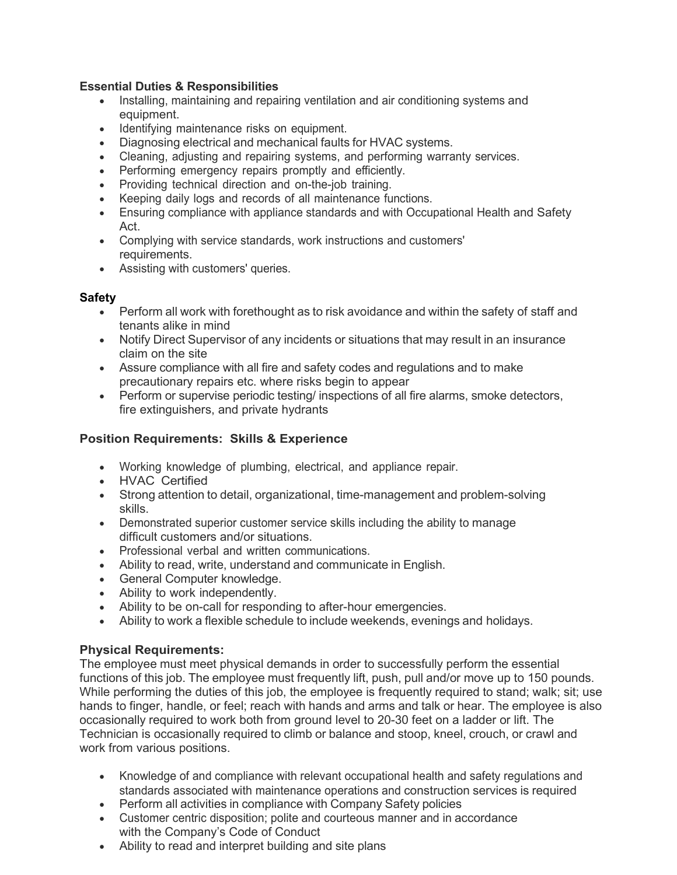## **Essential Duties & Responsibilities**

- Installing, maintaining and repairing ventilation and air conditioning systems and equipment.
- Identifying maintenance risks on equipment.
- Diagnosing electrical and mechanical faults for HVAC systems.
- Cleaning, adjusting and repairing systems, and performing warranty services.
- Performing emergency repairs promptly and efficiently.
- Providing technical direction and on-the-job training.
- Keeping daily logs and records of all maintenance functions.
- Ensuring compliance with appliance standards and with Occupational Health and Safety Act.
- Complying with service standards, work instructions and customers' requirements.
- Assisting with customers' queries.

## **Safety**

- Perform all work with forethought as to risk avoidance and within the safety of staff and tenants alike in mind
- Notify Direct Supervisor of any incidents or situations that may result in an insurance claim on the site
- Assure compliance with all fire and safety codes and regulations and to make precautionary repairs etc. where risks begin to appear
- Perform or supervise periodic testing/ inspections of all fire alarms, smoke detectors, fire extinguishers, and private hydrants

# **Position Requirements: Skills & Experience**

- Working knowledge of plumbing, electrical, and appliance repair.
- HVAC Certified
- Strong attention to detail, organizational, time-management and problem-solving skills.
- Demonstrated superior customer service skills including the ability to manage difficult customers and/or situations.
- Professional verbal and written communications.
- Ability to read, write, understand and communicate in English.
- General Computer knowledge.
- Ability to work independently.
- Ability to be on-call for responding to after-hour emergencies.
- Ability to work a flexible schedule to include weekends, evenings and holidays.

# **Physical Requirements:**

The employee must meet physical demands in order to successfully perform the essential functions of this job. The employee must frequently lift, push, pull and/or move up to 150 pounds. While performing the duties of this job, the employee is frequently required to stand; walk; sit; use hands to finger, handle, or feel; reach with hands and arms and talk or hear. The employee is also occasionally required to work both from ground level to 20-30 feet on a ladder or lift. The Technician is occasionally required to climb or balance and stoop, kneel, crouch, or crawl and work from various positions.

- Knowledge of and compliance with relevant occupational health and safety regulations and standards associated with maintenance operations and construction services is required
- Perform all activities in compliance with Company Safety policies
- Customer centric disposition; polite and courteous manner and in accordance with the Company's Code of Conduct
- Ability to read and interpret building and site plans